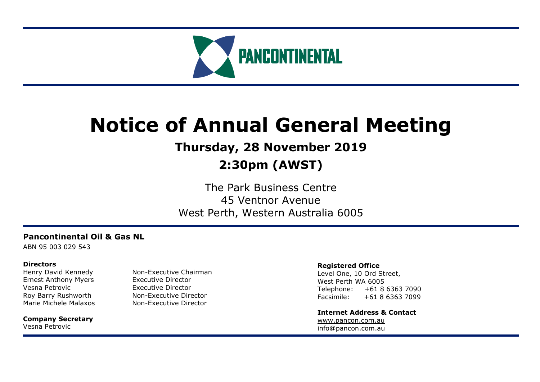

# **Notice of Annual General Meeting**

# **Thursday, 28 November 2019**

# **2:30pm (AWST)**

The Park Business Centre 45 Ventnor Avenue West Perth, Western Australia 6005

# **Pancontinental Oil & Gas NL**

ABN 95 003 029 543

### **Directors**

Ernest Anthony Myers Executive Director Vesna Petrovic **Executive Director** 

**Company Secretary** Vesna Petrovic

Henry David Kennedy Non-Executive Chairman Roy Barry Rushworth Non-Executive Director Marie Michele Malaxos Mon-Executive Director

### **Registered Office**

Level One, 10 Ord Street, West Perth WA 6005 Telephone: +61 8 6363 7090 Facsimile: +61 8 6363 7099

**Internet Address & Contact** [www.pancon.com.au](http://www.pancon.com.au/) info@pancon.com.au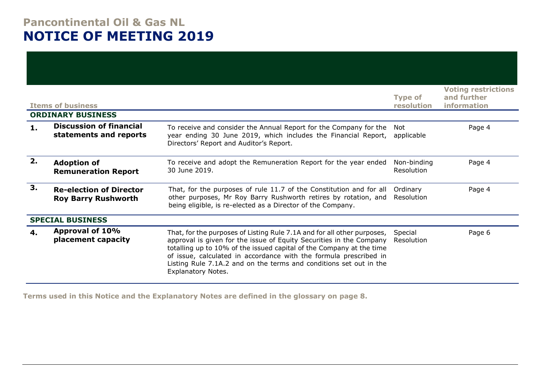# **Pancontinental Oil & Gas NL NOTICE OF MEETING 2019**

|    | <b>Items of business</b><br><b>ORDINARY BUSINESS</b>         |                                                                                                                                                                                                                                                                                                                                                                                                | <b>Type of</b><br>resolution | <b>Voting restrictions</b><br>and further<br>information |
|----|--------------------------------------------------------------|------------------------------------------------------------------------------------------------------------------------------------------------------------------------------------------------------------------------------------------------------------------------------------------------------------------------------------------------------------------------------------------------|------------------------------|----------------------------------------------------------|
| 1. | <b>Discussion of financial</b><br>statements and reports     | To receive and consider the Annual Report for the Company for the<br>year ending 30 June 2019, which includes the Financial Report,<br>Directors' Report and Auditor's Report.                                                                                                                                                                                                                 | Not<br>applicable            | Page 4                                                   |
| 2. | <b>Adoption of</b><br><b>Remuneration Report</b>             | To receive and adopt the Remuneration Report for the year ended<br>30 June 2019.                                                                                                                                                                                                                                                                                                               | Non-binding<br>Resolution    | Page 4                                                   |
| 3. | <b>Re-election of Director</b><br><b>Roy Barry Rushworth</b> | That, for the purposes of rule 11.7 of the Constitution and for all<br>other purposes, Mr Roy Barry Rushworth retires by rotation, and<br>being eligible, is re-elected as a Director of the Company.                                                                                                                                                                                          | Ordinary<br>Resolution       | Page 4                                                   |
|    | <b>SPECIAL BUSINESS</b>                                      |                                                                                                                                                                                                                                                                                                                                                                                                |                              |                                                          |
| 4. | Approval of 10%<br>placement capacity                        | That, for the purposes of Listing Rule 7.1A and for all other purposes,<br>approval is given for the issue of Equity Securities in the Company<br>totalling up to 10% of the issued capital of the Company at the time<br>of issue, calculated in accordance with the formula prescribed in<br>Listing Rule 7.1A.2 and on the terms and conditions set out in the<br><b>Explanatory Notes.</b> | Special<br>Resolution        | Page 6                                                   |

**Terms used in this Notice and the Explanatory Notes are defined in the glossary on page 8.**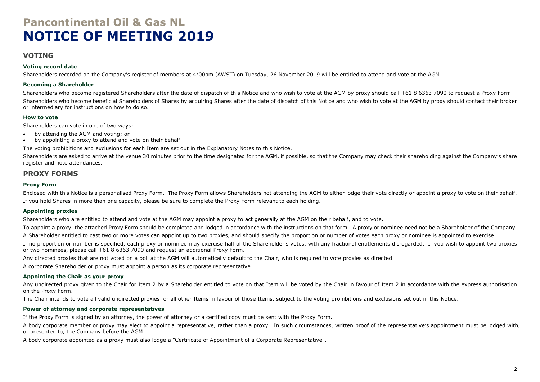# **Pancontinental Oil & Gas NL NOTICE OF MEETING 2019**

### **VOTING**

#### **Voting record date**

Shareholders recorded on the Company's register of members at 4:00pm (AWST) on Tuesday, 26 November 2019 will be entitled to attend and vote at the AGM.

#### **Becoming a Shareholder**

Shareholders who become registered Shareholders after the date of dispatch of this Notice and who wish to vote at the AGM by proxy should call +61 8 6363 7090 to request a Proxy Form. Shareholders who become beneficial Shareholders of Shares by acquiring Shares after the date of dispatch of this Notice and who wish to vote at the AGM by proxy should contact their broker or intermediary for instructions on how to do so.

### **How to vote**

Shareholders can vote in one of two ways:

- by attending the AGM and voting; or
- by appointing a proxy to attend and vote on their behalf.

The voting prohibitions and exclusions for each Item are set out in the Explanatory Notes to this Notice.

Shareholders are asked to arrive at the venue 30 minutes prior to the time designated for the AGM, if possible, so that the Company may check their shareholding against the Company's share register and note attendances.

### **PROXY FORMS**

#### **Proxy Form**

Enclosed with this Notice is a personalised Proxy Form. The Proxy Form allows Shareholders not attending the AGM to either lodge their vote directly or appoint a proxy to vote on their behalf. If you hold Shares in more than one capacity, please be sure to complete the Proxy Form relevant to each holding.

### **Appointing proxies**

Shareholders who are entitled to attend and vote at the AGM may appoint a proxy to act generally at the AGM on their behalf, and to vote.

To appoint a proxy, the attached Proxy Form should be completed and lodged in accordance with the instructions on that form. A proxy or nominee need not be a Shareholder of the Company.

A Shareholder entitled to cast two or more votes can appoint up to two proxies, and should specify the proportion or number of votes each proxy or nominee is appointed to exercise.

If no proportion or number is specified, each proxy or nominee may exercise half of the Shareholder's votes, with any fractional entitlements disregarded. If you wish to appoint two proxies or two nominees, please call +61 8 6363 7090 and request an additional Proxy Form.

Any directed proxies that are not voted on a poll at the AGM will automatically default to the Chair, who is required to vote proxies as directed.

A corporate Shareholder or proxy must appoint a person as its corporate representative.

### **Appointing the Chair as your proxy**

Any undirected proxy given to the Chair for Item 2 by a Shareholder entitled to vote on that Item will be voted by the Chair in favour of Item 2 in accordance with the express authorisation on the Proxy Form.

The Chair intends to vote all valid undirected proxies for all other Items in favour of those Items, subject to the voting prohibitions and exclusions set out in this Notice.

### **Power of attorney and corporate representatives**

If the Proxy Form is signed by an attorney, the power of attorney or a certified copy must be sent with the Proxy Form.

A body corporate member or proxy may elect to appoint a representative, rather than a proxy. In such circumstances, written proof of the representative's appointment must be lodged with, or presented to, the Company before the AGM.

A body corporate appointed as a proxy must also lodge a "Certificate of Appointment of a Corporate Representative".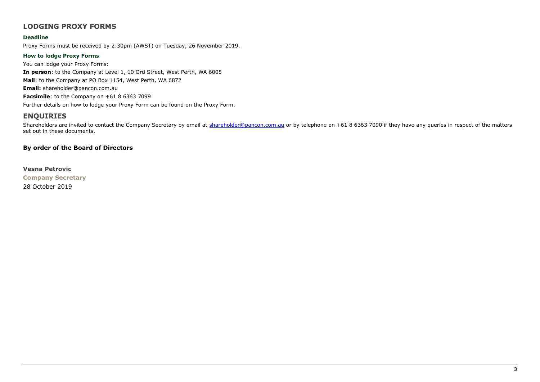# **LODGING PROXY FORMS**

#### **Deadline**

Proxy Forms must be received by 2:30pm (AWST) on Tuesday, 26 November 2019.

#### **How to lodge Proxy Forms**

You can lodge your Proxy Forms: **In person**: to the Company at Level 1, 10 Ord Street, West Perth, WA 6005 **Mail**: to the Company at PO Box 1154, West Perth, WA 6872 **Email:** shareholder@pancon.com.au **Facsimile**: to the Company on +61 8 6363 7099 Further details on how to lodge your Proxy Form can be found on the Proxy Form.

# **ENQUIRIES**

Shareholders are invited to contact the Company Secretary by email at [shareholder@pancon.com.au](mailto:shareholder@pancon.com.au) or by telephone on +61 8 6363 7090 if they have any queries in respect of the matters set out in these documents.

### **By order of the Board of Directors**

**Vesna Petrovic Company Secretary** 28 October 2019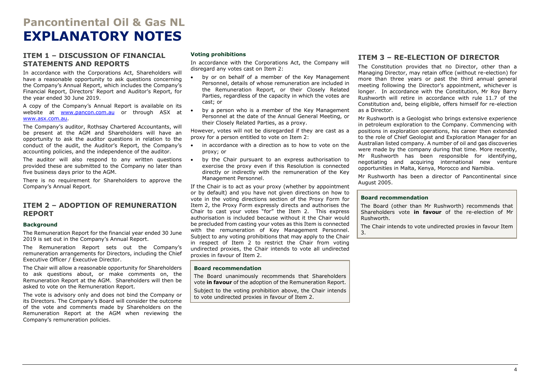# **Pancontinental Oil & Gas NL EXPLANATORY NOTES**

### <span id="page-4-0"></span>**ITEM 1 – DISCUSSION OF FINANCIAL STATEMENTS AND REPORTS**

In accordance with the Corporations Act, Shareholders will have a reasonable opportunity to ask questions concerning the Company's Annual Report, which includes the Company's Financial Report, Directors' Report and Auditor's Report, for the year ended 30 June 2019.

A copy of the Company's Annual Report is available on its website at [www.pancon.com.au](http://www.pancon.com.au/) or through ASX at [www.asx.com.au.](http://www.asx.com.au/)

The Company's auditor, Rothsay Chartered Accountants, will be present at the AGM and Shareholders will have an opportunity to ask the auditor questions in relation to the conduct of the audit, the Auditor's Report, the Company's accounting policies, and the independence of the auditor.

The auditor will also respond to any written questions . provided these are submitted to the Company no later than five business days prior to the AGM.

There is no requirement for Shareholders to approve the Company's Annual Report.

### <span id="page-4-1"></span>**ITEM 2 – ADOPTION OF REMUNERATION REPORT**

#### **Background**

The Remuneration Report for the financial year ended 30 June 2019 is set out in the Company's Annual Report.

The Remuneration Report sets out the Company's remuneration arrangements for Directors, including the Chief Executive Officer / Executive Director.

The Chair will allow a reasonable opportunity for Shareholders to ask questions about, or make comments on, the Remuneration Report at the AGM. Shareholders will then be asked to vote on the Remuneration Report.

The vote is advisory only and does not bind the Company or its Directors. The Company's Board will consider the outcome of the vote and comments made by Shareholders on the Remuneration Report at the AGM when reviewing the Company's remuneration policies.

#### **Voting prohibitions**

In accordance with the Corporations Act, the Company will disregard any votes cast on Item 2:

- by or on behalf of a member of the Key Management Personnel, details of whose remuneration are included in the Remuneration Report, or their Closely Related Parties, regardless of the capacity in which the votes are cast; or
- by a person who is a member of the Key Management Personnel at the date of the Annual General Meeting, or their Closely Related Parties, as a proxy.

However, votes will not be disregarded if they are cast as a proxy for a person entitled to vote on Item 2:

- in accordance with a direction as to how to vote on the proxy; or
- by the Chair pursuant to an express authorisation to exercise the proxy even if this Resolution is connected directly or indirectly with the remuneration of the Key Management Personnel.

If the Chair is to act as your proxy (whether by appointment or by default) and you have not given directions on how to vote in the voting directions section of the Proxy Form for Item 2, the Proxy Form expressly directs and authorises the Chair to cast your votes "for" the Item 2. This express authorisation is included because without it the Chair would be precluded from casting your votes as this Item is connected with the remuneration of Key Management Personnel. Subject to any voting prohibitions that may apply to the Chair in respect of Item 2 to restrict the Chair from voting undirected proxies, the Chair intends to vote all undirected proxies in favour of Item 2.

#### **Board recommendation**

The Board unanimously recommends that Shareholders vote **in favour** of the adoption of the Remuneration Report.

Subject to the voting prohibition above, the Chair intends to vote undirected proxies in favour of Item 2.

## <span id="page-4-2"></span>**ITEM 3 – RE-ELECTION OF DIRECTOR**

The Constitution provides that no Director, other than a Managing Director, may retain office (without re-election) for more than three years or past the third annual general meeting following the Director's appointment, whichever is longer. In accordance with the Constitution, Mr Roy Barry Rushworth will retire in accordance with rule 11.7 of the Constitution and, being eligible, offers himself for re-election as a Director.

Mr Rushworth is a Geologist who brings extensive experience in petroleum exploration to the Company. Commencing with positions in exploration operations, his career then extended to the role of Chief Geologist and Exploration Manager for an Australian listed company. A number of oil and gas discoveries were made by the company during that time. More recently, Mr Rushworth has been responsible for identifying, negotiating and acquiring international new venture opportunities in Malta, Kenya, Morocco and Namibia.

Mr Rushworth has been a director of Pancontinental since August 2005.

#### **Board recommendation**

The Board (other than Mr Rushworth) recommends that Shareholders vote **in favour** of the re-election of Mr Rushworth.

The Chair intends to vote undirected proxies in favour Item 3.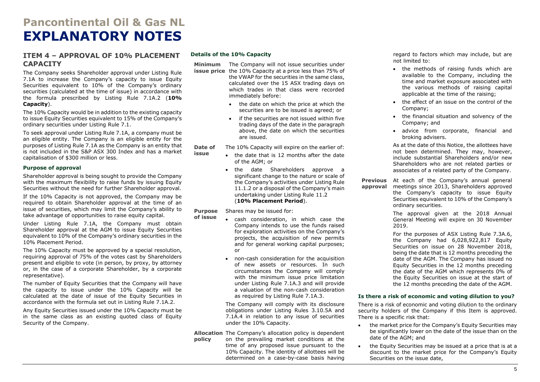# **Pancontinental Oil & Gas NL EXPLANATORY NOTES**

### **ITEM 4 – APPROVAL OF 10% PLACEMENT CAPACITY**

The Company seeks Shareholder approval under Listing Rule 7.1A to increase the Company's capacity to issue Equity Securities equivalent to 10% of the Company's ordinary securities (calculated at the time of issue) in accordance with the formula prescribed by Listing Rule 7.1A.2 (**10% Capacity**).

The 10% Capacity would be in addition to the existing capacity to issue Equity Securities equivalent to 15% of the Company's ordinary securities under Listing Rule 7.1.

To seek approval under Listing Rule 7.1A, a company must be an eligible entity. The Company is an eligible entity for the purposes of Listing Rule 7.1A as the Company is an entity that is not included in the S&P ASX 300 Index and has a market capitalisation of \$300 million or less.

#### **Purpose of approval**

Shareholder approval is being sought to provide the Company with the maximum flexibility to raise funds by issuing Equity Securities without the need for further Shareholder approval.

If the 10% Capacity is not approved, the Company may be required to obtain Shareholder approval at the time of an issue of securities, which may limit the Company's ability to take advantage of opportunities to raise equity capital.

Under Listing Rule 7.1A, the Company must obtain Shareholder approval at the AGM to issue Equity Securities equivalent to 10% of the Company's ordinary securities in the 10% Placement Period.

The 10% Capacity must be approved by a special resolution, requiring approval of 75% of the votes cast by Shareholders present and eligible to vote (in person, by proxy, by attorney or, in the case of a corporate Shareholder, by a corporate representative).

The number of Equity Securities that the Company will have the capacity to issue under the 10% Capacity will be calculated at the date of issue of the Equity Securities in accordance with the formula set out in Listing Rule 7.1A.2.

Any Equity Securities issued under the 10% Capacity must be in the same class as an existing quoted class of Equity Security of the Company.

#### **Details of the 10% Capacity**

**Minimum**  The Company will not issue securities under **issue price** the 10% Capacity at a price less than 75% of

the VWAP for the securities in the same class, calculated over the 15 ASX trading days on which trades in that class were recorded immediately before:

- the date on which the price at which the securities are to be issued is agreed; or
- if the securities are not issued within five trading days of the date in the paragraph above, the date on which the securities are issued.

**Date of issue** The 10% Capacity will expire on the earlier of:

- the date that is 12 months after the date of the AGM; or
- the date Shareholders approve a significant change to the nature or scale of the Company's activities under Listing Rule 11.1.2 or a disposal of the Company's main undertaking under Listing Rule 11.2 (**10% Placement Period**).

**Purpose**  Shares may be issued for:

- **of issue** • cash consideration, in which case the Company intends to use the funds raised for exploration activities on the Company's projects, the acquisition of new permits and for general working capital purposes; or
	- non-cash consideration for the acquisition of new assets or resources. In such circumstances the Company will comply with the minimum issue price limitation under Listing Rule 7.1A.3 and will provide a valuation of the non-cash consideration as required by Listing Rule 7.1A.3.

The Company will comply with its disclosure obligations under Listing Rules 3.10.5A and 7.1A.4 in relation to any issue of securities under the 10% Capacity.

**Allocation**  The Company's allocation policy is dependent **policy** on the prevailing market conditions at the time of any proposed issue pursuant to the 10% Capacity. The identity of allottees will be determined on a case-by-case basis having

regard to factors which may include, but are not limited to:

- the methods of raising funds which are available to the Company, including the time and market exposure associated with the various methods of raising capital applicable at the time of the raising;
- the effect of an issue on the control of the Company;
- the financial situation and solvency of the Company; and
- advice from corporate, financial and broking advisers.

As at the date of this Notice, the allottees have not been determined. They may, however, include substantial Shareholders and/or new Shareholders who are not related parties or associates of a related party of the Company.

**Previous approval** At each of the Company's annual general meetings since 2013, Shareholders approved the Company's capacity to issue Equity Securities equivalent to 10% of the Company's ordinary securities.

> The approval given at the 2018 Annual General Meeting will expire on 30 November 2019.

> For the purposes of ASX Listing Rule 7.3A.6, the Company had 6,028,922,817 Equity Securities on issue on 28 November 2018, being the date that is 12 months preceding the date of the AGM. The Company has issued no Equity Securities in the 12 months preceding the date of the AGM which represents 0% of the Equity Securities on issue at the start of the 12 months preceding the date of the AGM.

#### **Is there a risk of economic and voting dilution to you?**

There is a risk of economic and voting dilution to the ordinary security holders of the Company if this Item is approved. There is a specific risk that:

- the market price for the Company's Equity Securities may be significantly lower on the date of the issue than on the date of the AGM; and
- the Equity Securities may be issued at a price that is at a discount to the market price for the Company's Equity Securities on the issue date,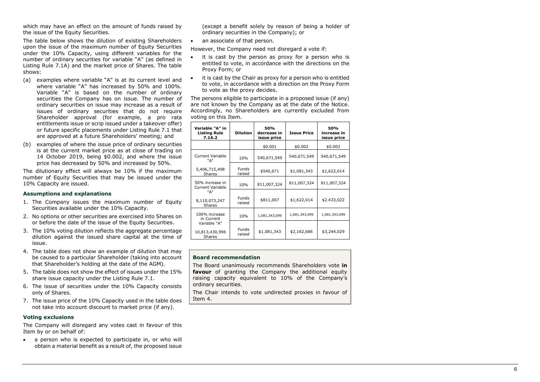which may have an effect on the amount of funds raised by the issue of the Equity Securities.

The table below shows the dilution of existing Shareholders upon the issue of the maximum number of Equity Securities under the 10% Capacity, using different variables for the number of ordinary securities for variable "A" (as defined in Listing Rule 7.1A) and the market price of Shares. The table shows:

- (a) examples where variable "A" is at its current level and where variable "A" has increased by 50% and 100%. Variable "A" is based on the number of ordinary securities the Company has on issue. The number of ordinary securities on issue may increase as a result of issues of ordinary securities that do not require Shareholder approval (for example, a pro rata entitlements issue or scrip issued under a takeover offer) or future specific placements under Listing Rule 7.1 that are approved at a future Shareholders' meeting; and
- (b) examples of where the issue price of ordinary securities is at the current market price as at close of trading on 14 October 201 9, being \$0.00 2, and where the issue price has dec reased by 50% and increased by 50%.

The dilutionary effect will always be 10% if the maximum number of Equity Securities that may be issued under the 10% Capacity are issued.

#### **Assumptions and explanations**

- 1. The Company issues the maximum number of Equity Securities available under the 10% Capacity.
- 2. No options or other securities are exercised into Shares on or before the date of the issue of the Equity Securities.
- 3. The 10% voting dilution reflects the aggregate percentage dilution against the issued share capital at the time of issue.
- 4. The table does not show an example of dilution that may be caused to a particular Shareholder (taking into account that Shareholder's holding at the date of the AGM).
- 5. The table does not show the effect of issues under the 15% share issue capacity under the Listing Rule 7.1.
- 6. The issue of securities under the 10% Capacity consists only of Shares.
- 7. The issue price of the 10% Capacity used in the table does not take into account discount to market price (if any).

#### **Voting exclusions**

The Company will disregard any votes cast in favour of this Item by or on behalf of:

• a person who is expected to participate in, or who will obtain a material benefit as a result of, the proposed issue

(except a benefit solely by reason of being a holder of ordinary securities in the Company); or

• an associate of that person .

However, the Company need not disregard a vote if:

- it is cast by the person as proxy for a person who is entitled to vote, in accordance with the directions on the Proxy Form; or
- it is cast by the Chair as proxy for a person who is entitled to vote, in accordance with a direction on the Proxy Form to vote as the proxy decides.

The persons eligible to participate in a proposed issue (if any) are not known by the Company as at the date of the Notice. Accordingly, no Shareholders are currently excluded from voting on this Item .

| Variable "A" in<br><b>Listing Rule</b><br>7.1A.2 | <b>Dilution</b>        | 50%<br>decrease in<br>issue price | <b>Issue Price</b> | 50%<br>increase in<br>issue price |
|--------------------------------------------------|------------------------|-----------------------------------|--------------------|-----------------------------------|
|                                                  |                        | \$0.001                           | \$0.002            | \$0.003                           |
| <b>Current Variable</b><br>"A"                   | 10%                    | 540,671,549                       | 540,671,549        | 540,671,549                       |
| 5,406,715,498<br>Shares                          | <b>Funds</b><br>raised | \$540,671                         | \$1,081,343        | \$1,622,014                       |
| 50% increase in<br><b>Current Variable</b>       | 10%                    | 811,007,324                       | 811,007,324        | 811,007,324                       |
| "A"<br>8,110,073,247<br>Shares                   | <b>Funds</b><br>raised | \$811,007                         | \$1,622,014        | \$2.433,022                       |
| 100% increase<br>in Current                      | 10%                    | 1,081,343,099                     | 1,081,343,099      | 1,081,343,099                     |
| Variable "A"<br>10,813,430,996<br>Shares         | Funds<br>raised        | \$1,081,343                       | \$2,162,686        | \$3,244,029                       |

#### **Board recommendation**

The Board unanimously recommends Shareholders vote **in favour** of granting the Company the additional equity raising capacity equivalent to 10% of the Company's ordinary securities.

The Chair intends to vote undirected proxies in favour of Item 4 .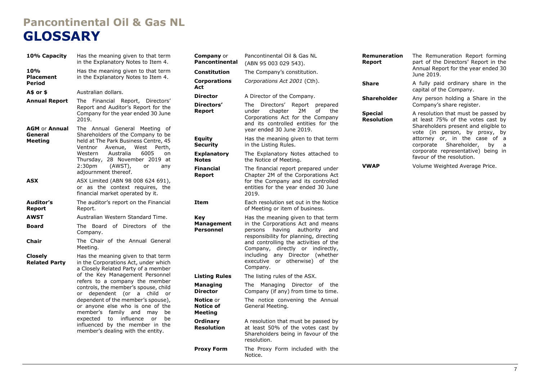# **Pancontinental Oil & Gas NL GLOSSARY**

| 10% Capacity                                      | Has the meaning given to that term<br>in the Explanatory Notes to Item 4.                                                                                                                                                                                                                                                                                                                                                                                                                                     | Co<br>Pa                                       |
|---------------------------------------------------|---------------------------------------------------------------------------------------------------------------------------------------------------------------------------------------------------------------------------------------------------------------------------------------------------------------------------------------------------------------------------------------------------------------------------------------------------------------------------------------------------------------|------------------------------------------------|
| 10%<br><b>Placement</b><br>Period                 | Has the meaning given to that term<br>in the Explanatory Notes to Item 4.                                                                                                                                                                                                                                                                                                                                                                                                                                     | Co<br>Co<br>Ac                                 |
| A\$ or \$                                         | Australian dollars.                                                                                                                                                                                                                                                                                                                                                                                                                                                                                           | Diı                                            |
| <b>Annual Report</b>                              | Financial Report, Directors'<br>The<br>Report and Auditor's Report for the<br>Company for the year ended 30 June<br>2019.                                                                                                                                                                                                                                                                                                                                                                                     | Diı<br>Re                                      |
| <b>AGM or Annual</b><br>General<br><b>Meeting</b> | The Annual General<br>Meeting<br>. of<br>Shareholders of the Company to be<br>held at The Park Business Centre, 45<br>West<br>Ventnor<br>Avenue,<br>Perth,<br>Australia<br>6005<br>Western<br>on<br>28 November 2019 at<br>Thursday,<br>2:30pm<br>(AWST),<br>or<br>any<br>adjournment thereof.                                                                                                                                                                                                                | Eq<br>Se<br>Ex<br>No<br>Fir<br>Re              |
| ASX                                               | ASX Limited (ABN 98 008 624 691),<br>or as the context requires, the<br>financial market operated by it.                                                                                                                                                                                                                                                                                                                                                                                                      |                                                |
| Auditor's<br>Report                               | The auditor's report on the Financial<br>Report.                                                                                                                                                                                                                                                                                                                                                                                                                                                              | Ite                                            |
| AWST                                              | Australian Western Standard Time.                                                                                                                                                                                                                                                                                                                                                                                                                                                                             | Ke                                             |
| <b>Board</b>                                      | Board of Directors of the<br>The<br>Company.                                                                                                                                                                                                                                                                                                                                                                                                                                                                  | Ma<br>Pe                                       |
| Chair                                             | The Chair of the Annual General<br>Meeting.                                                                                                                                                                                                                                                                                                                                                                                                                                                                   |                                                |
| <b>Closely</b><br><b>Related Party</b>            | Has the meaning given to that term<br>in the Corporations Act, under which<br>a Closely Related Party of a member<br>of the Key Management Personnel<br>refers to a company the member<br>controls, the member's spouse, child<br>dependent (or a<br>child<br>or<br>or<br>dependent of the member's spouse),<br>or anyone else who is one of the<br>family<br>member's<br>and<br>be<br>may<br>influence<br>expected<br>to<br>or<br>be<br>influenced by the member in the<br>member's dealing with the entity. | Lis<br>Ma<br>Diı<br>No<br>No<br>Me<br>Or<br>Re |
|                                                   |                                                                                                                                                                                                                                                                                                                                                                                                                                                                                                               | Dr.                                            |

| Company or<br><b>Pancontinental</b>                    | Pancontinental Oil & Gas NL<br>(ABN 95 003 029 543).                                                                                                                                                                                                                                                                                       |
|--------------------------------------------------------|--------------------------------------------------------------------------------------------------------------------------------------------------------------------------------------------------------------------------------------------------------------------------------------------------------------------------------------------|
| Constitution                                           | The Company's constitution.                                                                                                                                                                                                                                                                                                                |
| <b>Corporations</b><br>Act                             | Corporations Act 2001 (Cth).                                                                                                                                                                                                                                                                                                               |
| <b>Director</b>                                        | A Director of the Company.                                                                                                                                                                                                                                                                                                                 |
| Directors'<br><b>Report</b>                            | The Directors' Report prepared<br>chapter<br>2M<br>under<br>of<br>the<br>Corporations Act for the Company<br>and its controlled entities for the<br>year ended 30 June 2019.                                                                                                                                                               |
| <b>Equity</b><br><b>Security</b>                       | Has the meaning given to that term<br>in the Listing Rules.                                                                                                                                                                                                                                                                                |
| <b>Explanatory</b><br><b>Notes</b>                     | The Explanatory Notes attached to<br>the Notice of Meeting.                                                                                                                                                                                                                                                                                |
| <b>Financial</b><br>Report                             | The financial report prepared under<br>Chapter 2M of the Corporations Act<br>for the Company and its controlled<br>entities for the year ended 30 June<br>2019.                                                                                                                                                                            |
| Item                                                   | Each resolution set out in the Notice<br>of Meeting or item of business.                                                                                                                                                                                                                                                                   |
| <b>Key</b><br><b>Management</b><br>Personnel           | Has the meaning given to that term<br>in the Corporations Act and means<br>having<br>persons<br>authority<br>and<br>responsibility for planning, directing<br>and controlling the activities of the<br>Company, directly or<br>indirectly,<br>including<br>Director<br>(whether<br>any<br>otherwise) of the<br>executive<br>or<br>Company. |
| <b>Listing Rules</b>                                   | The listing rules of the ASX.                                                                                                                                                                                                                                                                                                              |
| <b>Managing</b><br><b>Director</b>                     | The<br>Managing<br>Director of<br>the<br>Company (if any) from time to time.                                                                                                                                                                                                                                                               |
| <b>Notice</b> or<br><b>Notice of</b><br><b>Meeting</b> | The notice convening the Annual<br>General Meeting.                                                                                                                                                                                                                                                                                        |
| Ordinary<br><b>Resolution</b>                          | A resolution that must be passed by<br>at least 50% of the votes cast by<br>Shareholders being in favour of the<br>resolution.                                                                                                                                                                                                             |
| <b>Proxy Form</b>                                      | The Proxy Form included with the<br>Notice.                                                                                                                                                                                                                                                                                                |

| Remuneration<br>Report       | The Remuneration Report forming<br>part of the Directors' Report in the<br>Annual Report for the year ended 30<br>June 2019.                                                                                                                                                                 |
|------------------------------|----------------------------------------------------------------------------------------------------------------------------------------------------------------------------------------------------------------------------------------------------------------------------------------------|
| <b>Share</b>                 | A fully paid ordinary share in the<br>capital of the Company.                                                                                                                                                                                                                                |
| Shareholder                  | Any person holding a Share in the<br>Company's share register.                                                                                                                                                                                                                               |
| <b>Special</b><br>Resolution | A resolution that must be passed by<br>at least 75% of the votes cast by<br>Shareholders present and eligible to<br>vote (in person, by proxy, by<br>attorney or, in the case of<br>- a<br>corporate Shareholder, by<br>a<br>corporate representative) being in<br>favour of the resolution. |
| <b>VWAP</b>                  | Volume Weighted Average Price.                                                                                                                                                                                                                                                               |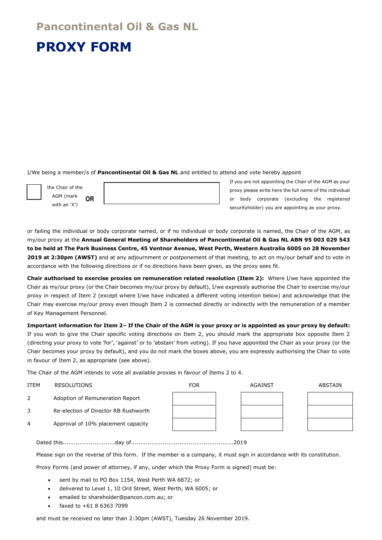# **Pancontinental Oil & Gas NL**

# **PROXY FORM**

I/We being a member/s of **Pancontinental Oil & Gas NL** and entitled to attend and vote hereby appoint

AGM (mark with an 'X') **OR**

the Chair of the

If you are not appointing the Chair of the AGM as your proxy please write here the full name of the individual or body corporate (excluding the registered securityholder) you are appointing as your proxy.

or failing the individual or body corporate named, or if no individual or body corporate is named, the Chair of the AGM, as my/our proxy at the **Annual General Meeting of Shareholders of Pancontinental Oil & Gas NL ABN 95 003 029 543 to be held at The Park Business Centre, 45 Ventnor Avenue, West Perth, Western Australia 6005 on 28 November 2019 at 2:30pm (AWST)** and at any adjournment or postponement of that meeting, to act on my/our behalf and to vote in accordance with the following directions or if no directions have been given, as the proxy sees fit.

**Chair authorised to exercise proxies on remuneration related resolution (Item 2):** Where I/we have appointed the Chair as my/our proxy (or the Chair becomes my/our proxy by default), I/we expressly authorise the Chair to exercise my/our proxy in respect of Item 2 (except where I/we have indicated a different voting intention below) and acknowledge that the Chair may exercise my/our proxy even though Item 2 is connected directly or indirectly with the remuneration of a member of Key Management Personnel.

**Important information for Item 2– If the Chair of the AGM is your proxy or is appointed as your proxy by default:** If you wish to give the Chair specific voting directions on Item 2, you should mark the appropriate box opposite Item 2 (directing your proxy to vote 'for', 'against' or to 'abstain' from voting). If you have appointed the Chair as your proxy (or the Chair becomes your proxy by default), and you do not mark the boxes above, you are expressly authorising the Chair to vote in favour of Item 2, as appropriate (see above).

The Chair of the AGM intends to vote all available proxies in favour of Items 2 to 4.

# ITEM RESOLUTIONS FOR AGAINST ABSTAIN 2 Adoption of Remuneration Report 3 Re-election of Director RB Rushworth 4 Approval of 10% placement capacity

Dated this............................day of.......................................................2019

Please sign on the reverse of this form. If the member is a company, it must sign in accordance with its constitution.

Proxy Forms (and power of attorney, if any, under which the Proxy Form is signed) must be:

- sent by mail to PO Box 1154, West Perth WA 6872; or
- delivered to Level 1, 10 Ord Street, West Perth, WA 6005; or
- emailed to shareholder@pancon.com.au; or
- faxed to +61 8 6363 7099

and must be received no later than 2:30pm (AWST), Tuesday 26 November 2019.